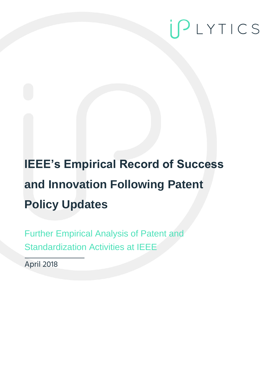# IPLYTICS

## **IEEE's Empirical Record of Success and Innovation Following Patent Policy Updates**

Further Empirical Analysis of Patent and Standardization Activities at IEEE

April 2018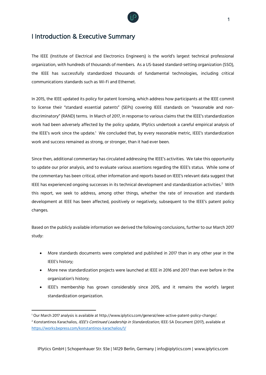

## I Introduction & Executive Summary

The IEEE (Institute of Electrical and Electronics Engineers) is the world's largest technical professional organization, with hundreds of thousands of members. As a US-based standard-setting organization (SSO), the IEEE has successfully standardized thousands of fundamental technologies, including critical communications standards such as Wi-Fi and Ethernet.

In 2015, the IEEE updated its policy for patent licensing, which address how participants at the IEEE commit to license their "standard essential patents" (SEPs) covering IEEE standards on "reasonable and nondiscriminatory" (RAND) terms. In March of 2017, in response to various claims that the IEEE's standardization work had been adversely affected by the policy update, IPlytics undertook a careful empirical analysis of the IEEE's work since the update.<sup>1</sup> We concluded that, by every reasonable metric, IEEE's standardization work and success remained as strong, or stronger, than it had ever been.

Since then, additional commentary has circulated addressing the IEEE's activities. We take this opportunity to update our prior analysis, and to evaluate various assertions regarding the IEEE's status. While some of the commentary has been critical, other information and reports based on IEEE's relevant data suggest that IEEE has experienced ongoing successes in its technical development and standardization activities. $^2$  With this report, we seek to address, among other things, whether the rate of innovation and standards development at IEEE has been affected, positively or negatively, subsequent to the IEEE's patent policy changes.

Based on the publicly available information we derived the following conclusions, further to our March 2017 study:

- More standards documents were completed and published in 2017 than in any other year in the IEEE's history;
- More new standardization projects were launched at IEEE in 2016 and 2017 than ever before in the organization's history;
- IEEE's membership has grown considerably since 2015, and it remains the world's largest standardization organization.

1

<sup>1</sup> Our March 2017 analysis is available at http://www.iplytics.com/general/ieee-active-patent-policy-change/.

<sup>&</sup>lt;sup>2</sup> Konstantinos Karachalios, IEEE's Continued Leadership in Standardization, IEEE-SA Document (2017), available at <https://works.bepress.com/konstantinos-karachalios/1/>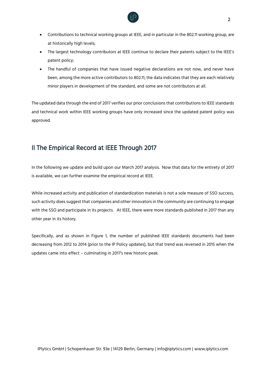

- Contributions to technical working groups at IEEE, and in particular in the 802.11 working group, are at historically high levels;
- The largest technology contributors at IEEE continue to declare their patents subject to the IEEE's patent policy;
- The handful of companies that have issued negative declarations are not now, and never have been, among the more active contributors to 802.11; the data indicates that they are each relatively minor players in development of the standard, and some are not contributors at all.

The updated data through the end of 2017 verifies our prior conclusions that contributions to IEEE standards and technical work within IEEE working groups have only increased since the updated patent policy was approved.

## II The Empirical Record at IEEE Through 2017

In the following we update and build upon our March 2017 analysis. Now that data for the entirety of 2017 is available, we can further examine the empirical record at IEEE.

While increased activity and publication of standardization materials is not a sole measure of SSO success, such activity does suggest that companies and other innovators in the community are continuing to engage with the SSO and participate in its projects. At IEEE, there were more standards published in 2017 than any other year in its history.

Specifically, and as shown in Figure 1, the number of published IEEE standards documents had been decreasing from 2012 to 2014 (prior to the IP Policy updates), but that trend was reversed in 2015 when the updates came into effect – culminating in 2017's new historic peak.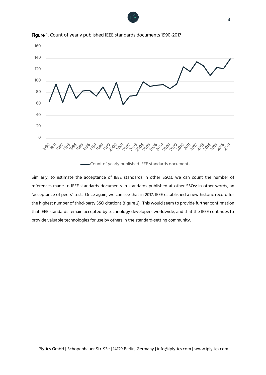

Figure 1: Count of yearly published IEEE standards documents 1990-2017

Count of yearly published IEEE standards documents

Similarly, to estimate the acceptance of IEEE standards in other SSOs, we can count the number of references made to IEEE standards documents in standards published at other SSOs; in other words, an "acceptance of peers" test. Once again, we can see that in 2017, IEEE established a new historic record for the highest number of third-party SSO citations (figure 2). This would seem to provide further confirmation that IEEE standards remain accepted by technology developers worldwide, and that the IEEE continues to provide valuable technologies for use by others in the standard-setting community.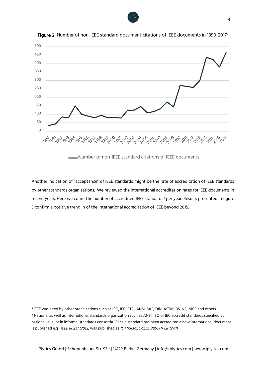



Figure 2: Number of non-IEEE standard document citations of IEEE documents in 1990-2017<sup>3</sup>

Another indication of "acceptance" of IEEE standards might be the rate of accreditation of IEEE standards by other standards organizations. We reviewed the international accreditation rates for IEEE documents in recent years. Here we count the number of accredited IEEE standards<sup>4</sup> per year. Results presented in figure 3 confirm a positive trend in of the international accreditation of IEEE beyond 2015.

<sup>3</sup> IEEE was cited by other organizations such as ISO, IEC, ETSI, ANSI, SAE, DIN, ASTM, BS, NS, NICE and others

<sup>4</sup> National as well as international standards organization such as ANSI, ISO or IEC accredit standards specified at national level or in informal standards consortia. Once a standard has been accredited a new international document is published e.g. IEEE 802.11 (2012) was published as IDT\*ISO/IEC/IEEE 8802-11 (2012-11).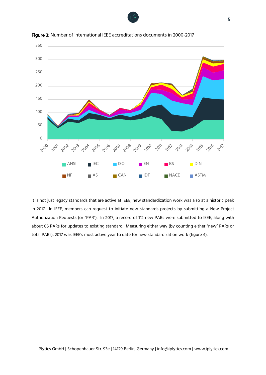



Figure 3: Number of international IEEE accreditations documents in 2000-2017

It is not just legacy standards that are active at IEEE; new standardization work was also at a historic peak in 2017. In IEEE, members can request to initiate new standards projects by submitting a New Project Authorization Requests (or "PAR"). In 2017, a record of 112 new PARs were submitted to IEEE, along with about 85 PARs for updates to existing standard. Measuring either way (by counting either "new" PARs or total PARs), 2017 was IEEE's most active year to date for new standardization work (figure 4).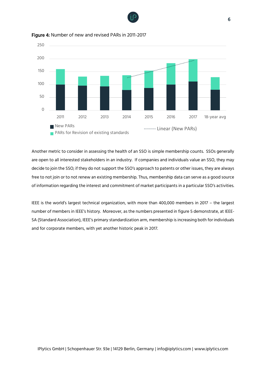

Figure 4: Number of new and revised PARs in 2011-2017

Another metric to consider in assessing the health of an SSO is simple membership counts. SSOs generally are open to all interested stakeholders in an industry. If companies and individuals value an SSO, they may decide to join the SSO; if they do not support the SSO's approach to patents or other issues, they are always free to not join or to not renew an existing membership. Thus, membership data can serve as a good source of information regarding the interest and commitment of market participants in a particular SSO's activities.

IEEE is the world's largest technical organization, with more than 400,000 members in 2017 – the largest number of members in IEEE's history. Moreover, as the numbers presented in figure 5 demonstrate, at IEEE-SA (Standard Association), IEEE's primary standardization arm, membership is increasing both for individuals and for corporate members, with yet another historic peak in 2017.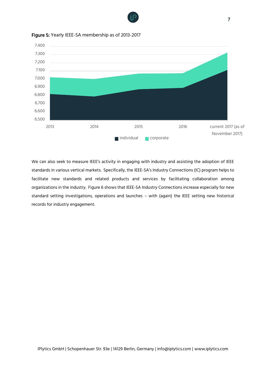

6.500 6.600 6.700 6.800 6.900 7.000 7.100 7.200 7.300 7.400 2013 2014 2015 2016 current 2017 (as of November 2017) ndividual corporate

Figure 5: Yearly IEEE-SA membership as of 2013-2017

We can also seek to measure IEEE's activity in engaging with industry and assisting the adoption of IEEE standards in various vertical markets. Specifically, the IEEE-SA's Industry Connections (IC) program helps to facilitate new standards and related products and services by facilitating collaboration among organizations in the industry. Figure 6 shows that IEEE-SA Industry Connections increase especially for new standard setting investigations, operations and launches – with (again) the IEEE setting new historical records for industry engagement.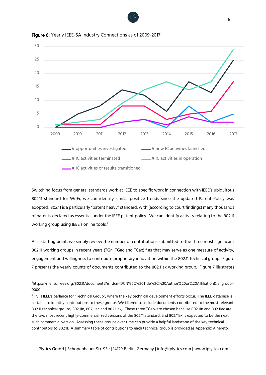

Figure 6: Yearly IEEE-SA Industry Connections as of 2009-2017

Switching focus from general standards work at IEEE to specific work in connection with IEEE's ubiquitous 802.11 standard for Wi-Fi, we can identify similar positive trends since the updated Patent Policy was adopted. 802.11 is a particularly "patent heavy" standard, with (according to court findings) many thousands of patents declared as essential under the IEEE patent policy. We can identify activity relating to the 802.11 working group using IEEE's online tools.<sup>5</sup>

As a starting point, we simply review the number of contributions submitted to the three most significant 802.11 working groups in recent years (TGn, TGac and TCax), <sup>6</sup> as that may serve as one measure of activity, engagement and willingness to contribute proprietary innovation within the 802.11 technical group. Figure 7 presents the yearly counts of documents contributed to the 802.11ax working group. Figure 7 illustrates

<sup>5</sup>https://mentor.ieee.org/802.11/documents?is\_dcn=DCN%2C%20Title%2C%20Author%20or%20Affiliation&is\_group= 0000

<sup>6</sup> TG is IEEE's parlance for "Technical Group", where the key technical development efforts occur. The IEEE database is sortable to identify contributions to these groups. We filtered to include documents contributed to the most relevant 802.11 technical groups, 802.11n, 802.11ac and 802.11ax, . These three TGs were chosen because 802.11n and 802.11ac are the two most recent highly-commercialized versions of the 802.11 standard, and 802.11ax is expected to be the next such commercial version. Assessing these groups over time can provide a helpful landscape of the key technical contributors to 802.11. A summary table of contributions to each technical group is provided as Appendix A hereto.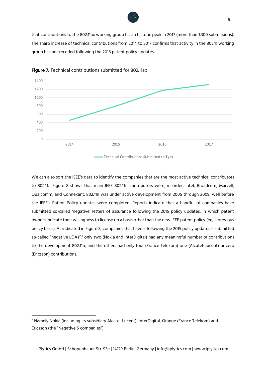

that contributions to the 802.11ax working group hit an historic peak in 2017 (more than 1,300 submissions). The sharp increase of technical contributions from 2014 to 2017 confirms that activity in the 802.11 working group has not receded following the 2015 patent policy updates.



Figure 7: Technical contributions submitted for 802.11ax

We can also sort the IEEE's data to identify the companies that are the most active technical contributors to 802.11. Figure 8 shows that main IEEE 802.11n contributors were, in order, Intel, Broadcom, Marvell, Qualcomm, and Connexant. 802.11n was under active development from 2005 through 2009, well before the IEEE's Patent Policy updates were completed. Reports indicate that a handful of companies have submitted so-called 'negative' letters of assurance following the 2015 policy updates, in which patent owners indicate their willingness to license on a basis other than the new IEEE patent policy (eg, a previous policy basis). As indicated in Figure 8, companies that have – following the 2015 policy updates – submitted so-called "negative LOAs", <sup>7</sup> only two (Nokia and InterDigital) had any meaningful number of contributions to the development 802.11n, and the others had only four (France Telekom) one (Alcatel-Lucent) or zero (Ericsson) contributions.

<sup>7</sup> Namely Nokia (including its subsidiary Alcatel-Lucent), InterDigital, Orange (France Telekom) and Ericsson (the "Negative 5 companies").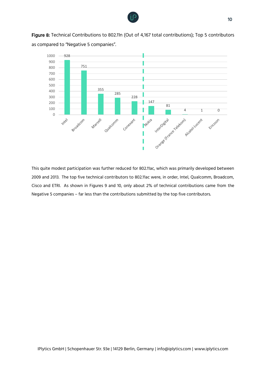

Figure 8: Technical Contributions to 802.11n (Out of 4,167 total contributions); Top 5 contributors as compared to "Negative 5 companies".



This quite modest participation was further reduced for 802.11ac, which was primarily developed between 2009 and 2013. The top five technical contributors to 802.11ac were, in order, Intel, Qualcomm, Broadcom, Cisco and ETRI. As shown in Figures 9 and 10, only about 2% of technical contributions came from the Negative 5 companies – far less than the contributions submitted by the top five contributors.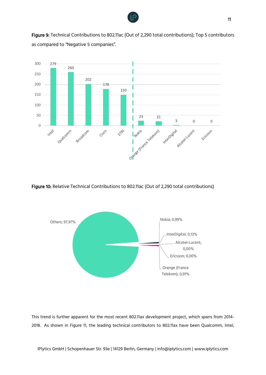

Figure 9: Technical Contributions to 802.11ac (Out of 2,290 total contributions); Top 5 contributors as compared to "Negative 5 companies".



Figure 10: Relative Technical Contributions to 802.11ac (Out of 2,290 total contributions)



This trend is further apparent for the most recent 802.11ax development project, which spans from 2014- 2018. As shown in Figure 11, the leading technical contributors to 802.11ax have been Qualcomm, Intel,

IPlytics GmbH | Schopenhauer Str. 93e | 14129 Berlin, Germany | info@iplytics.com | www.iplytics.com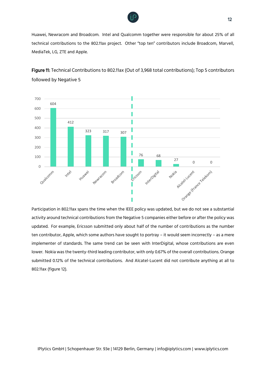

Huawei, Newracom and Broadcom. Intel and Qualcomm together were responsible for about 25% of all technical contributions to the 802.11ax project. Other "top ten" contributors include Broadcom, Marvell, MediaTek, LG, ZTE and Apple.

Figure 11: Technical Contributions to 802.11ax (Out of 3,968 total contributions); Top 5 contributors followed by Negative 5



Participation in 802.11ax spans the time when the IEEE policy was updated, but we do not see a substantial activity around technical contributions from the Negative 5 companies either before or after the policy was updated. For example, Ericsson submitted only about half of the number of contributions as the number ten contributor, Apple, which some authors have sought to portray – it would seem incorrectly – as a mere implementer of standards. The same trend can be seen with InterDigital, whose contributions are even lower. Nokia was the twenty-third leading contributor, with only 0.67% of the overall contributions. Orange submitted 0.12% of the technical contributions. And Alcatel-Lucent did not contribute anything at all to 802.11ax (figure 12).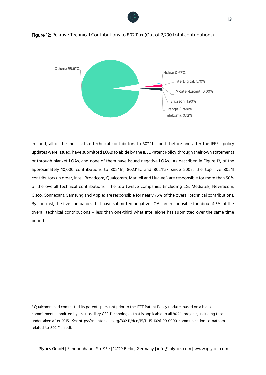



#### Figure 12: Relative Technical Contributions to 802.11ax (Out of 2,290 total contributions)

In short, all of the most active technical contributors to 802.11 – both before and after the IEEE's policy updates were issued, have submitted LOAs to abide by the IEEE Patent Policy through their own statements or through blanket LOAs, and none of them have issued negative LOAs. <sup>8</sup> As described in Figure 13, of the approximately 10,000 contributions to 802.11n, 802.11ac and 802.11ax since 2005, the top five 802.11 contributors (in order, Intel, Broadcom, Qualcomm, Marvell and Huawei) are responsible for more than 50% of the overall technical contributions. The top twelve companies (including LG, Mediatek, Newracom, Cisco, Connexant, Samsung and Apple) are responsible for nearly 75% of the overall technical contributions. By contrast, the five companies that have submitted negative LOAs are responsible for about 4.5% of the overall technical contributions – less than one-third what Intel alone has submitted over the same time period.

<sup>&</sup>lt;sup>8</sup> Qualcomm had committed its patents pursuant prior to the IEEE Patent Policy update, based on a blanket commitment submitted by its subsidiary CSR Technologies that is applicable to all 802.11 projects, including those undertaken after 2015. See https://mentor.ieee.org/802.11/dcn/15/11-15-1026-00-0000-communication-to-patcomrelated-to-802-11ah.pdf.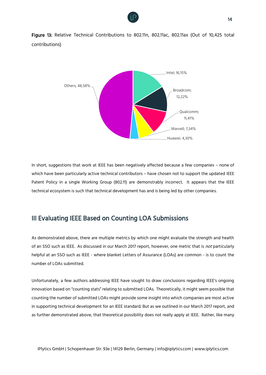

Figure 13: Relative Technical Contributions to 802.11n, 802.11ac, 802.11ax (Out of 10,425 total contributions)



In short, suggestions that work at IEEE has been negatively affected because a few companies – none of which have been particularly active technical contributors – have chosen not to support the updated IEEE Patent Policy in a single Working Group (802.11) are demonstrably incorrect. It appears that the IEEE technical ecosystem is such that technical development has and is being led by other companies.

## III Evaluating IEEE Based on Counting LOA Submissions

As demonstrated above, there are multiple metrics by which one might evaluate the strength and health of an SSO such as IEEE. As discussed in our March 2017 report, however, one metric that is *not* particularly helpful at an SSO such as IEEE - where blanket Letters of Assurance (LOAs) are common - is to count the number of LOAs submitted.

Unfortunately, a few authors addressing IEEE have sought to draw conclusions regarding IEEE's ongoing innovation based on "counting stats" relating to submitted LOAs. Theoretically, it might seem possible that counting the number of submitted LOAs might provide some insight into which companies are most active in supporting technical development for an IEEE standard. But as we outlined in our March 2017 report, and as further demonstrated above, that theoretical possibility does not really apply at IEEE. Rather, like many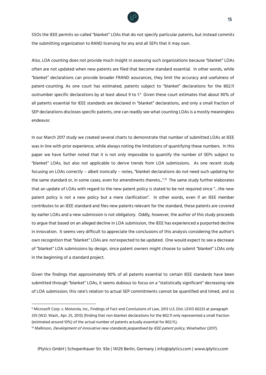

SSOs the IEEE permits so-called "blanket" LOAs that do not specify particular patents, but instead commits the submitting organization to RAND licensing for any and all SEPs that it may own.

Also, LOA counting does not provide much insight in assessing such organizations because "blanket" LOAs often are not updated when new patents are filed that become standard essential. In other words, while "blanket" declarations can provide broader FRAND assurances, they limit the accuracy and usefulness of patent-counting. As one court has estimated, patents subject to "blanket" declarations for the 802.11 outnumber specific declarations by at least about 9 to 1.<sup>9</sup> Given these court estimates that about 90% of all patents essential for IEEE standards are declared in "blanket" declarations, and only a small fraction of SEP declarations discloses specific patents, one can readily see what counting LOAs is a mostly meaningless endeavor.

In our March 2017 study we created several charts to demonstrate that number of submitted LOAs at IEEE was in line with prior experience, while always noting the limitations of quantifying these numbers. In this paper we have further noted that it is not only impossible to quantify the number of SEPs subject to "blanket" LOAs, but also not applicable to derive trends from LOA submissions. As one recent study focusing on LOAs correctly – albeit ironically – notes, "blanket declarations do not need such updating for the same standard or, in some cases, even for amendments thereto...". 10 The same study further elaborates that an update of LOAs with regard to the new patent policy is stated to be not required since "…the new patent policy is not a new policy but a mere clarification". In other words, even if an IEEE member contributes to an IEEE standard and files new patents relevant for the standard, these patents are covered by earlier LOAs and a new submission is not obligatory. Oddly, however, the author of this study proceeds to argue that based on an alleged decline in LOA submission, the IEEE has experienced a purported decline in innovation. It seems very difficult to appreciate the conclusions of this analysis considering the author's own recognition that "blanket" LOAs are not expected to be updated. One would expect to see a decrease of "blanket" LOA submissions by design, since patent owners might choose to submit "blanket" LOAs only in the beginning of a standard project.

Given the findings that approximately 90% of all patents essential to certain IEEE standards have been submitted through "blanket" LOAs, it seems dubious to focus on a "statistically significant" decreasing rate of LOA submission; this rate's relation to actual SEP commitments cannot be quantified and timed, and so

<sup>&</sup>lt;sup>9</sup> Microsoft Corp. v. Motorola, Inc., Findings of Fact and Conclusions of Law, 2013 U.S. Dist. LEXIS 60233 at paragraph 335 (W.D. Wash., Apr. 25, 2013) (finding that non-blanket declarations for the 802.11 only represented a small fraction (estimated around 10%) of the actual number of patents actually essential for 802.11.).

<sup>&</sup>lt;sup>10</sup> Mallinson, *Development of innovative new standards jeopardised by IEEE patent policy*, Wiseharbor (2017).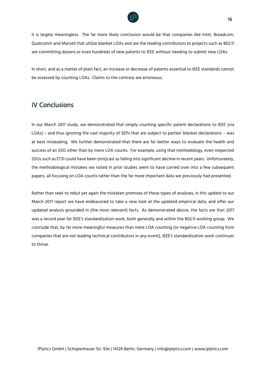

it is largely meaningless. The far more likely conclusion would be that companies like Intel, Broadcom, Qualcomm and Marvell that utilize blanket LOAs and are the leading contributors to projects such as 802.11 are committing dozens or even hundreds of new patents to IEEE without needing to submit new LOAs.

In short, and as a matter of plain fact, an increase or decrease of patents essential to IEEE standards cannot be assessed by counting LOAs. Claims to the contrary are erroneous.

## IV Conclusions

In our March 2017 study, we demonstrated that simply counting specific patent declarations to IEEE (via LOAs) – and thus ignoring the vast majority of SEPs that are subject to parties' blanket declarations – was at best misleading. We further demonstrated that there are far better ways to evaluate the health and success of an SSO other than by mere LOA counts. For example, using that methodology, even respected SSOs such as ETSI could have been (mis)cast as falling into significant decline in recent years. Unfortunately, the methodological mistakes we noted in prior studies seem to have carried over into a few subsequent papers, all focusing on LOA counts rather than the far more important data we previously had presented.

Rather than seek to rebut yet again the mistaken premises of these types of analyses, in this update to our March 2017 report we have endeavored to take a new look at the updated empirical data, and offer our updated analysis grounded in (the most relevant) facts. As demonstrated above, the facts are that 2017 was a record year for IEEE's standardization work, both generally and within the 802.11 working group. We conclude that, by far more meaningful measures than mere LOA counting (or negative LOA counting from companies that are not leading technical contributors in any event), IEEE's standardization work continues to thrive.